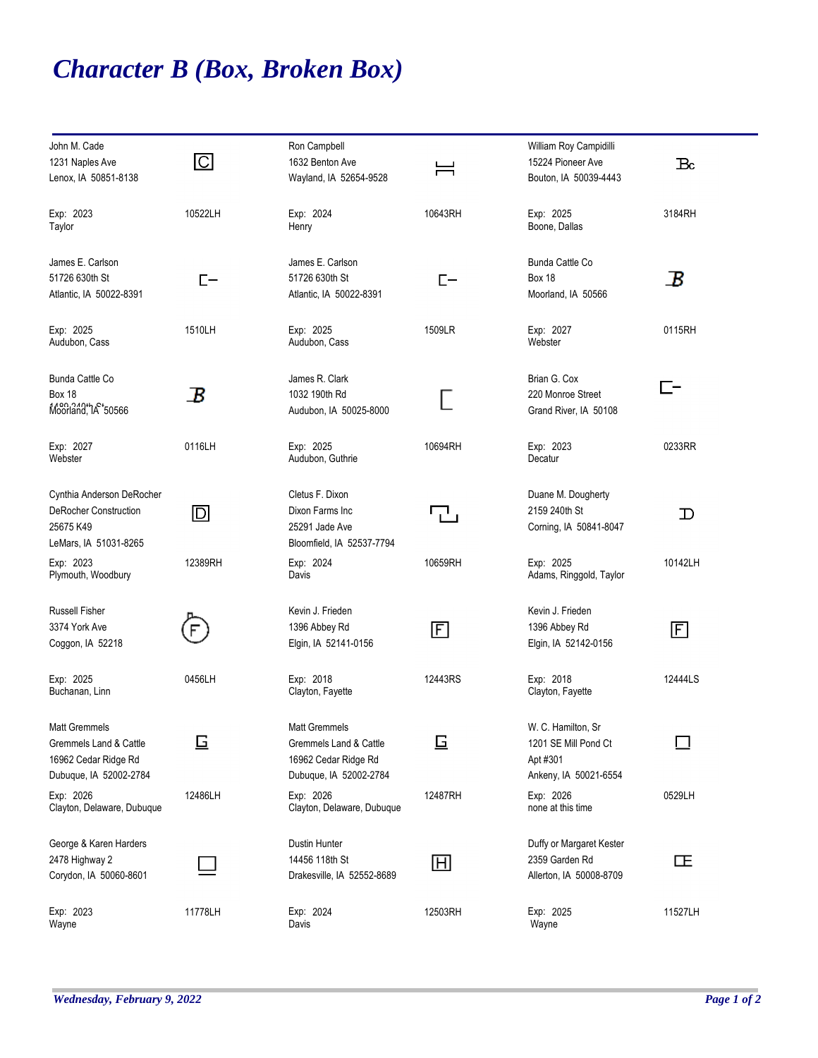## *Character B (Box, Broken Box)*

| John M. Cade<br>1231 Naples Ave<br>Lenox, IA 50851-8138                                          | $\overline{\mathbb{C}}$ | Ron Campbell<br>1632 Benton Ave<br>Wayland, IA 52654-9528                                        | ⊨          | William Roy Campidilli<br>15224 Pioneer Ave<br>Bouton, IA 50039-4443            | $_{\rm Bc}$ |
|--------------------------------------------------------------------------------------------------|-------------------------|--------------------------------------------------------------------------------------------------|------------|---------------------------------------------------------------------------------|-------------|
| Exp: 2023<br>Taylor                                                                              | 10522LH                 | Exp: 2024<br>Henry                                                                               | 10643RH    | Exp: 2025<br>Boone, Dallas                                                      | 3184RH      |
| James E. Carlson<br>51726 630th St<br>Atlantic, IA 50022-8391                                    | $E-$                    | James E. Carlson<br>51726 630th St<br>Atlantic, IA 50022-8391                                    | $E-$       | <b>Bunda Cattle Co</b><br>Box 18<br>Moorland, IA 50566                          | B           |
| Exp: 2025<br>Audubon, Cass                                                                       | 1510LH                  | Exp: 2025<br>Audubon, Cass                                                                       | 1509LR     | Exp: 2027<br>Webster                                                            | 0115RH      |
| Bunda Cattle Co<br><b>Box 18</b><br>Moorland, 1A 50566                                           | $\bm B$                 | James R. Clark<br>1032 190th Rd<br>Audubon, IA 50025-8000                                        |            | Brian G. Cox<br>220 Monroe Street<br>Grand River, IA 50108                      | 匚–          |
| Exp: 2027<br>Webster                                                                             | 0116LH                  | Exp: 2025<br>Audubon, Guthrie                                                                    | 10694RH    | Exp: 2023<br>Decatur                                                            | 0233RR      |
| Cynthia Anderson DeRocher<br><b>DeRocher Construction</b><br>25675 K49<br>LeMars, IA 51031-8265  | $\Box$                  | Cletus F. Dixon<br>Dixon Farms Inc<br>25291 Jade Ave<br>Bloomfield, IA 52537-7794                | 고          | Duane M. Dougherty<br>2159 240th St<br>Corning, IA 50841-8047                   | $\mathbf D$ |
| Exp: 2023<br>Plymouth, Woodbury                                                                  | 12389RH                 | Exp: 2024<br>Davis                                                                               | 10659RH    | Exp: 2025<br>Adams, Ringgold, Taylor                                            | 10142LH     |
| <b>Russell Fisher</b><br>3374 York Ave<br>Coggon, IA 52218                                       |                         | Kevin J. Frieden<br>1396 Abbey Rd<br>Elgin, IA 52141-0156                                        | $\boxdot$  | Kevin J. Frieden<br>1396 Abbey Rd<br>Elgin, IA 52142-0156                       | $\boxdot$   |
| Exp: 2025<br>Buchanan, Linn                                                                      | 0456LH                  | Exp: 2018<br>Clayton, Fayette                                                                    | 12443RS    | Exp: 2018<br>Clayton, Fayette                                                   | 12444LS     |
| <b>Matt Gremmels</b><br>Gremmels Land & Cattle<br>16962 Cedar Ridge Rd<br>Dubuque, IA 52002-2784 | 旦                       | <b>Matt Gremmels</b><br>Gremmels Land & Cattle<br>16962 Cedar Ridge Rd<br>Dubuque, IA 52002-2784 | 亘          | W. C. Hamilton, Sr<br>1201 SE Mill Pond Ct<br>Apt #301<br>Ankeny, IA 50021-6554 |             |
| Exp: 2026<br>Clayton, Delaware, Dubuque                                                          | 12486LH                 | Exp: 2026<br>Clayton, Delaware, Dubuque                                                          | 12487RH    | Exp: 2026<br>none at this time                                                  | 0529LH      |
| George & Karen Harders<br>2478 Highway 2<br>Corydon, IA 50060-8601                               |                         | Dustin Hunter<br>14456 118th St<br>Drakesville, IA 52552-8689                                    | $\boxplus$ | Duffy or Margaret Kester<br>2359 Garden Rd<br>Allerton, IA 50008-8709           | 正           |
| Exp: 2023<br>Wayne                                                                               | 11778LH                 | Exp: 2024<br>Davis                                                                               | 12503RH    | Exp: 2025<br>Wayne                                                              | 11527LH     |